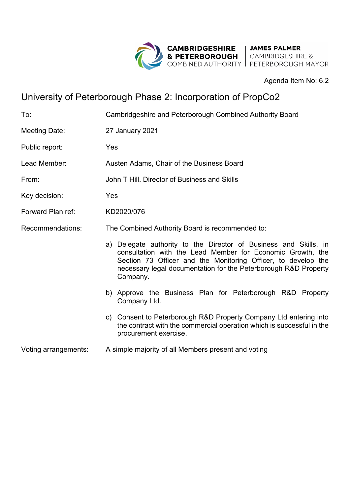

Agenda Item No: 6.2

## University of Peterborough Phase 2: Incorporation of PropCo2

| To:                  | Cambridgeshire and Peterborough Combined Authority Board                                                                                                                                                                                                                       |
|----------------------|--------------------------------------------------------------------------------------------------------------------------------------------------------------------------------------------------------------------------------------------------------------------------------|
| <b>Meeting Date:</b> | 27 January 2021                                                                                                                                                                                                                                                                |
| Public report:       | Yes                                                                                                                                                                                                                                                                            |
| Lead Member:         | Austen Adams, Chair of the Business Board                                                                                                                                                                                                                                      |
| From:                | John T Hill, Director of Business and Skills                                                                                                                                                                                                                                   |
| Key decision:        | Yes                                                                                                                                                                                                                                                                            |
| Forward Plan ref:    | KD2020/076                                                                                                                                                                                                                                                                     |
| Recommendations:     | The Combined Authority Board is recommended to:                                                                                                                                                                                                                                |
|                      | a) Delegate authority to the Director of Business and Skills, in<br>consultation with the Lead Member for Economic Growth, the<br>Section 73 Officer and the Monitoring Officer, to develop the<br>necessary legal documentation for the Peterborough R&D Property<br>Company. |
|                      | b) Approve the Business Plan for Peterborough R&D Property<br>Company Ltd.                                                                                                                                                                                                     |
|                      | c) Consent to Peterborough R&D Property Company Ltd entering into<br>the contract with the commercial operation which is successful in the<br>procurement exercise.                                                                                                            |
| Voting arrangements: | A simple majority of all Members present and voting                                                                                                                                                                                                                            |